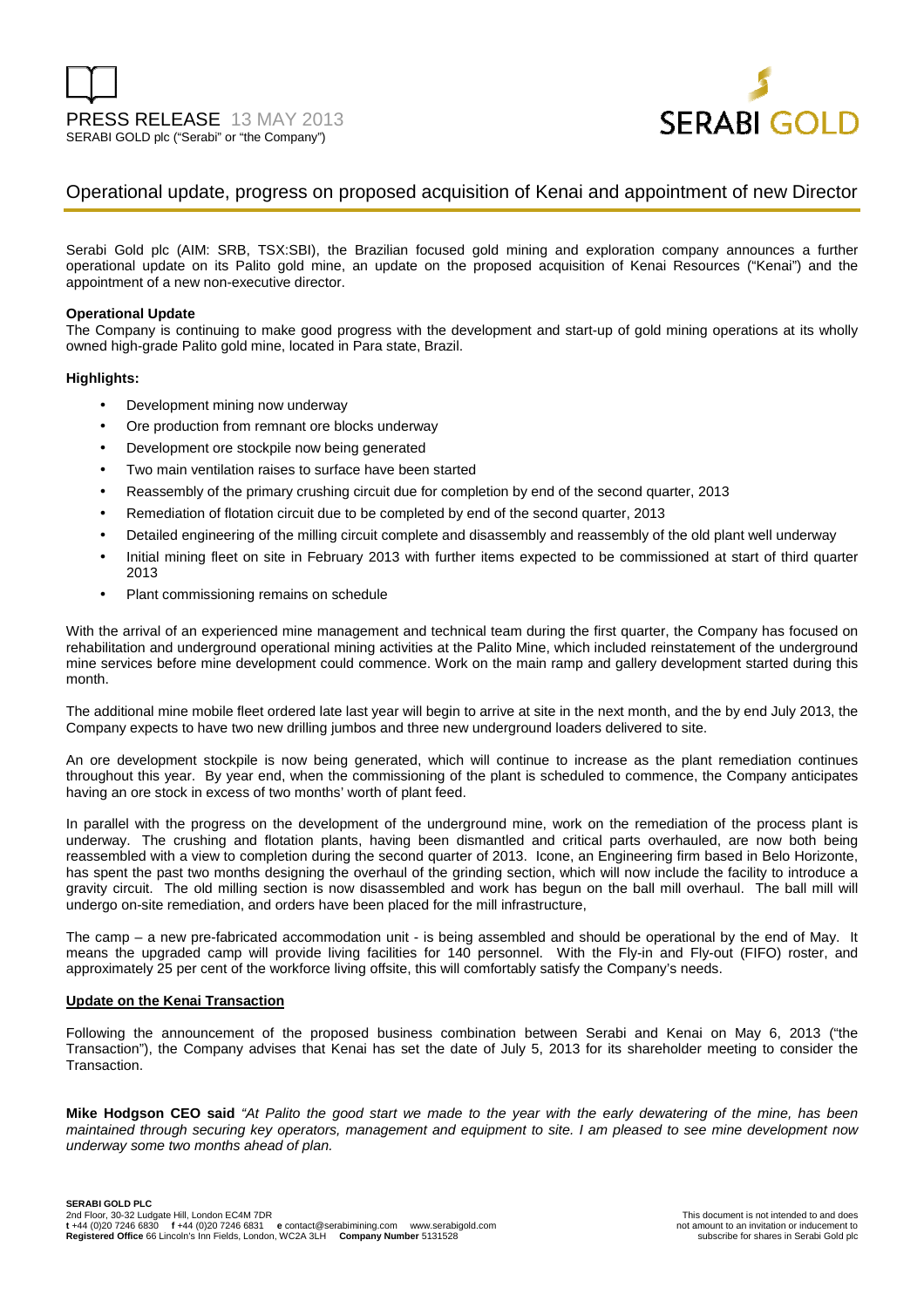

## Operational update, progress on proposed acquisition of Kenai and appointment of new Director

Serabi Gold plc (AIM: SRB, TSX:SBI), the Brazilian focused gold mining and exploration company announces a further operational update on its Palito gold mine, an update on the proposed acquisition of Kenai Resources ("Kenai") and the appointment of a new non-executive director.

## **Operational Update**

The Company is continuing to make good progress with the development and start-up of gold mining operations at its wholly owned high-grade Palito gold mine, located in Para state, Brazil.

## **Highlights:**

- Development mining now underway
- Ore production from remnant ore blocks underway
- Development ore stockpile now being generated
- Two main ventilation raises to surface have been started
- Reassembly of the primary crushing circuit due for completion by end of the second quarter, 2013
- Remediation of flotation circuit due to be completed by end of the second quarter, 2013
- Detailed engineering of the milling circuit complete and disassembly and reassembly of the old plant well underway
- Initial mining fleet on site in February 2013 with further items expected to be commissioned at start of third quarter 2013
- Plant commissioning remains on schedule

With the arrival of an experienced mine management and technical team during the first quarter, the Company has focused on rehabilitation and underground operational mining activities at the Palito Mine, which included reinstatement of the underground mine services before mine development could commence. Work on the main ramp and gallery development started during this month.

The additional mine mobile fleet ordered late last year will begin to arrive at site in the next month, and the by end July 2013, the Company expects to have two new drilling jumbos and three new underground loaders delivered to site.

An ore development stockpile is now being generated, which will continue to increase as the plant remediation continues throughout this year. By year end, when the commissioning of the plant is scheduled to commence, the Company anticipates having an ore stock in excess of two months' worth of plant feed.

In parallel with the progress on the development of the underground mine, work on the remediation of the process plant is underway. The crushing and flotation plants, having been dismantled and critical parts overhauled, are now both being reassembled with a view to completion during the second quarter of 2013. Icone, an Engineering firm based in Belo Horizonte, has spent the past two months designing the overhaul of the grinding section, which will now include the facility to introduce a gravity circuit. The old milling section is now disassembled and work has begun on the ball mill overhaul. The ball mill will undergo on-site remediation, and orders have been placed for the mill infrastructure,

The camp – a new pre-fabricated accommodation unit - is being assembled and should be operational by the end of May. It means the upgraded camp will provide living facilities for 140 personnel. With the Fly-in and Fly-out (FIFO) roster, and approximately 25 per cent of the workforce living offsite, this will comfortably satisfy the Company's needs.

## **Update on the Kenai Transaction**

Following the announcement of the proposed business combination between Serabi and Kenai on May 6, 2013 ("the Transaction"), the Company advises that Kenai has set the date of July 5, 2013 for its shareholder meeting to consider the **Transaction** 

**Mike Hodgson CEO said** "At Palito the good start we made to the year with the early dewatering of the mine, has been maintained through securing key operators, management and equipment to site. I am pleased to see mine development now underway some two months ahead of plan.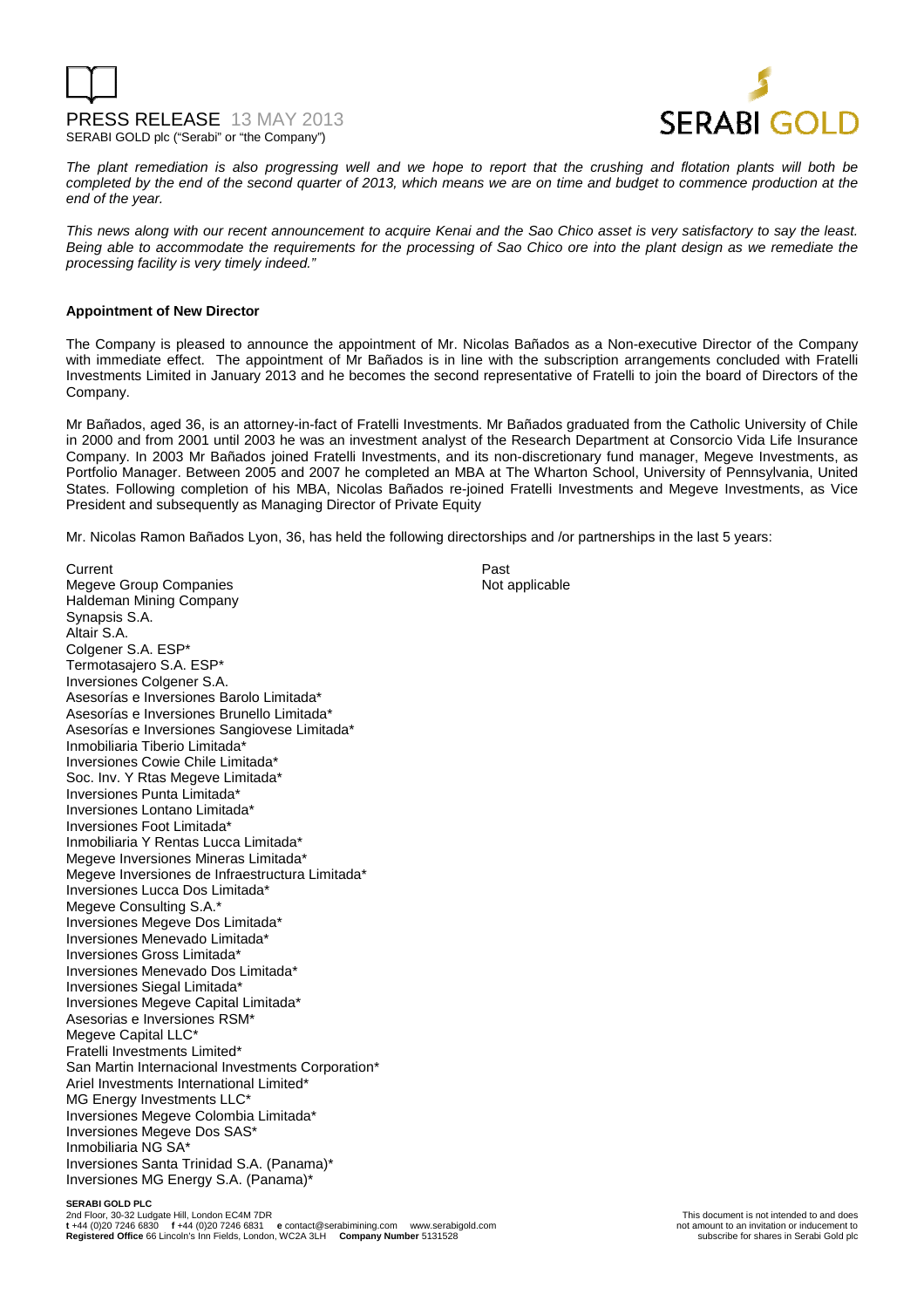



The plant remediation is also progressing well and we hope to report that the crushing and flotation plants will both be completed by the end of the second quarter of 2013, which means we are on time and budget to commence production at the end of the year.

This news along with our recent announcement to acquire Kenai and the Sao Chico asset is very satisfactory to say the least. Being able to accommodate the requirements for the processing of Sao Chico ore into the plant design as we remediate the processing facility is very timely indeed."

## **Appointment of New Director**

The Company is pleased to announce the appointment of Mr. Nicolas Bañados as a Non-executive Director of the Company with immediate effect. The appointment of Mr Bañados is in line with the subscription arrangements concluded with Fratelli Investments Limited in January 2013 and he becomes the second representative of Fratelli to join the board of Directors of the Company.

Mr Bañados, aged 36, is an attorney-in-fact of Fratelli Investments. Mr Bañados graduated from the Catholic University of Chile in 2000 and from 2001 until 2003 he was an investment analyst of the Research Department at Consorcio Vida Life Insurance Company. In 2003 Mr Bañados joined Fratelli Investments, and its non-discretionary fund manager, Megeve Investments, as Portfolio Manager. Between 2005 and 2007 he completed an MBA at The Wharton School, University of Pennsylvania, United States. Following completion of his MBA, Nicolas Bañados re-joined Fratelli Investments and Megeve Investments, as Vice President and subsequently as Managing Director of Private Equity

Mr. Nicolas Ramon Bañados Lyon, 36, has held the following directorships and /or partnerships in the last 5 years:

Current **Past** Megeve Group Companies Not applicable Haldeman Mining Company Synapsis S.A. Altair S.A. Colgener S.A. ESP\* Termotasajero S.A. ESP\* Inversiones Colgener S.A. Asesorías e Inversiones Barolo Limitada\* Asesorías e Inversiones Brunello Limitada\* Asesorías e Inversiones Sangiovese Limitada\* Inmobiliaria Tiberio Limitada\* Inversiones Cowie Chile Limitada\* Soc. Inv. Y Rtas Megeve Limitada\* Inversiones Punta Limitada\* Inversiones Lontano Limitada\* Inversiones Foot Limitada\* Inmobiliaria Y Rentas Lucca Limitada\* Megeve Inversiones Mineras Limitada\* Megeve Inversiones de Infraestructura Limitada\* Inversiones Lucca Dos Limitada\* Megeve Consulting S.A.\* Inversiones Megeve Dos Limitada\* Inversiones Menevado Limitada\* Inversiones Gross Limitada\* Inversiones Menevado Dos Limitada\* Inversiones Siegal Limitada\* Inversiones Megeve Capital Limitada\* Asesorias e Inversiones RSM\* Megeve Capital LLC\* Fratelli Investments Limited\* San Martin Internacional Investments Corporation\* Ariel Investments International Limited\* MG Energy Investments LLC\* Inversiones Megeve Colombia Limitada\* Inversiones Megeve Dos SAS\* Inmobiliaria NG SA\* Inversiones Santa Trinidad S.A. (Panama)\* Inversiones MG Energy S.A. (Panama)\*

**SERABI GOLD PLC**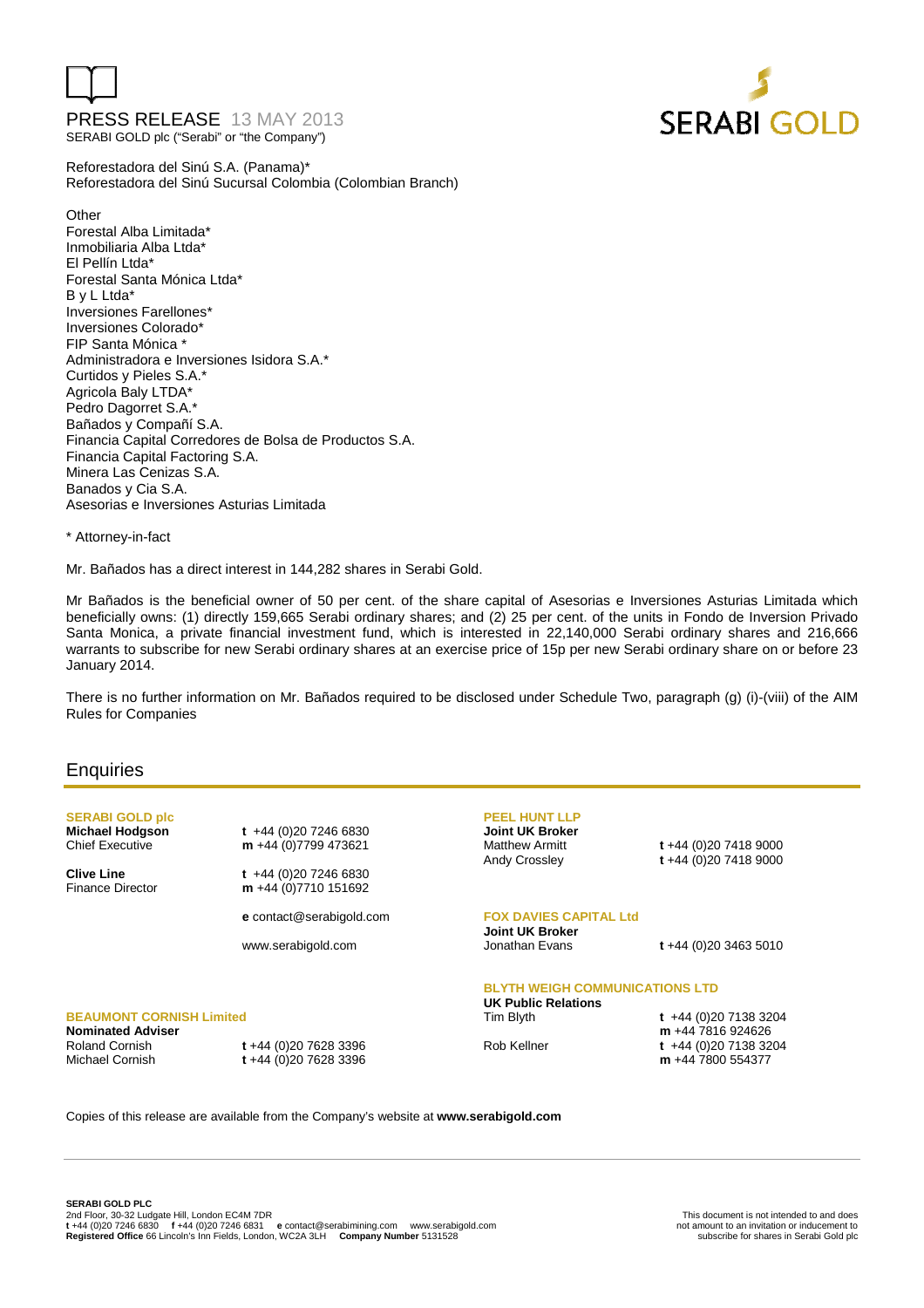



Reforestadora del Sinú S.A. (Panama)\* Reforestadora del Sinú Sucursal Colombia (Colombian Branch)

**Other** Forestal Alba Limitada\* Inmobiliaria Alba Ltda\* El Pellín Ltda\* Forestal Santa Mónica Ltda\* B y L Ltda\* Inversiones Farellones\* Inversiones Colorado\* FIP Santa Mónica \* Administradora e Inversiones Isidora S.A.\* Curtidos y Pieles S.A.\* Agricola Baly LTDA\* Pedro Dagorret S.A.\* Bañados y Compañí S.A. Financia Capital Corredores de Bolsa de Productos S.A. Financia Capital Factoring S.A. Minera Las Cenizas S.A. Banados y Cia S.A. Asesorias e Inversiones Asturias Limitada

\* Attorney-in-fact

Mr. Bañados has a direct interest in 144,282 shares in Serabi Gold.

Mr Bañados is the beneficial owner of 50 per cent. of the share capital of Asesorias e Inversiones Asturias Limitada which beneficially owns: (1) directly 159,665 Serabi ordinary shares; and (2) 25 per cent. of the units in Fondo de Inversion Privado Santa Monica, a private financial investment fund, which is interested in 22,140,000 Serabi ordinary shares and 216,666 warrants to subscribe for new Serabi ordinary shares at an exercise price of 15p per new Serabi ordinary share on or before 23 January 2014.

There is no further information on Mr. Bañados required to be disclosed under Schedule Two, paragraph (g) (i)-(viii) of the AIM Rules for Companies

## **Enquiries**

**SERABI GOLD plc** 

**BEAUMONT CORNISH Limited** 

Roland Cornish **t** +44 (0)20 7628 3396

**Nominated Adviser** 

**Michael Hodgson t** +44 (0)20 7246 6830<br>Chief Executive **m** +44 (0)7799 473621 m +44 (0)7799 473621

**Clive Line t** +44 (0)20 7246 6830 Finance Director **m** +44 (0)7710 151692

**e** contact@serabigold.com

www.serabigold.com

## **PEEL HUNT LLP Joint UK Broker**

Matthew Armitt **t** +44 (0)20 7418 9000 Andy Crossley **t** +44 (0)20 7418 9000

**FOX DAVIES CAPITAL Ltd Joint UK Broker** 

Jonathan Evans **t** +44 (0)20 3463 5010

## **BLYTH WEIGH COMMUNICATIONS LTD**

**UK Public Relations** 

Tim Blyth **t** +44 (0)20 7138 3204 **m** +44 7816 924626 Rob Kellner **t** +44 (0)20 7138 3204 **m** +44 7800 554377

Copies of this release are available from the Company's website at **www.serabigold.com** 

Michael Cornish **t** +44 (0)20 7628 3396